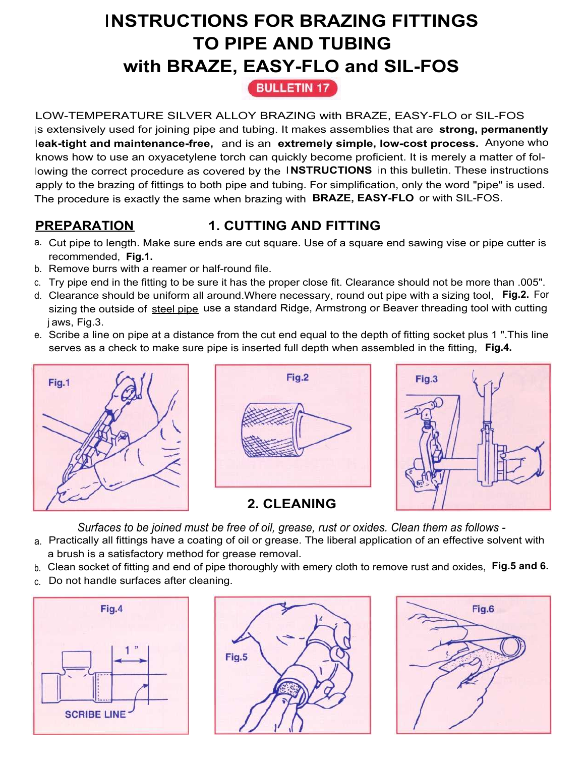# **INSTRUCTIONS FOR BRAZING FITTINGS TO PIPE AND TUBING with BRAZE, EASY-FLO and SIL-FOS**

**BULLETIN 17** 

LOW-TEMPERATURE SILVER ALLOY BRAZING with BRAZE, EASY-FLO or SIL-FOS is extensively used for joining pipe and tubing. It makes assemblies that are **strong, permanently leak-tight and maintenance-free,** and is an **extremely simple, low-cost process.** Anyone who knows how to use an oxyacetylene torch can quickly become proficient. It is merely a matter of following the correct procedure as covered by the **<sup>I</sup> NSTRUCTIONS** in this bulletin. These instructions apply to the brazing of fittings to both pipe and tubing. For simplification, only the word "pipe" is used. The procedure is exactly the same when brazing with **BRAZE, EASY-FLO** or with SIL-FOS.

# **PREPARATION 1. CUTTING AND FITTING**

- a. Cut pipe to length. Make sure ends are cut square. Use of a square end sawing vise or pipe cutter is recommended, **Fig.1.**
- b. Remove burrs with a reamer or half-round file.
- c. Try pipe end in the fitting to be sure it has the proper close fit. Clearance should not be more than .005".
- d. Clearance should be uniform all around.Where necessary, round out pipe with a sizing tool, **Fig.2.** For sizing the outside of steel pipe use a standard Ridge, Armstrong or Beaver threading tool with cutting j aws, Fig.3.
- e. Scribe a line on pipe at a distance from the cut end equal to the depth of fitting socket plus 1 ".This line serves as a check to make sure pipe is inserted full depth when assembled in the fitting, **Fig.4.**







*Surfaces to be joined must be free of oil, grease, rust or oxides. Clean them as follows -*

- a. Practically all fittings have a coating of oil or grease. The liberal application of an effective solvent with a brush is a satisfactory method for grease removal.
- b. Clean socket of fitting and end of pipe thoroughly with emery cloth to remove rust and oxides, **Fig.5 and 6.**
- c. Do not handle surfaces after cleaning.





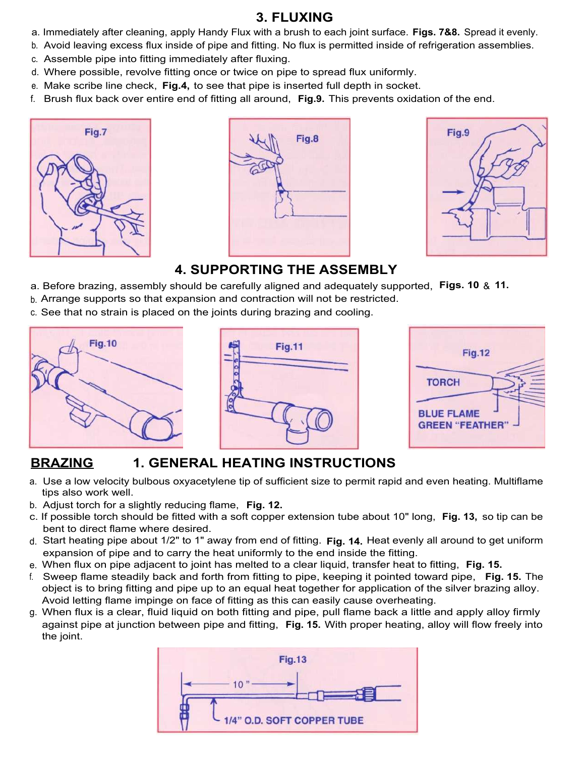### **3. FLUXING**

- a. Immediately after cleaning, apply Handy Flux with a brush to each joint surface. **Figs. 7&8.** Spread it evenly.
- b. Avoid leaving excess flux inside of pipe and fitting. No flux is permitted inside of refrigeration assemblies.
- c. Assemble pipe into fitting immediately after fluxing.
- d. Where possible, revolve fitting once or twice on pipe to spread flux uniformly.
- e. Make scribe line check, **Fig.4,** to see that pipe is inserted full depth in socket.
- f. Brush flux back over entire end of fitting all around, **Fig.9.** This prevents oxidation of the end.







## **4. SUPPORTING THE ASSEMBLY**

- a. Before brazing, assembly should be carefully aligned and adequately supported, **Figs. 10** & **11.**
- b. Arrange supports so that expansion and contraction will not be restricted.
- c. See that no strain is placed on the joints during brazing and cooling.







## **BRAZING 1. GENERAL HEATING INSTRUCTIONS**

- a. Use a low velocity bulbous oxyacetylene tip of sufficient size to permit rapid and even heating. Multiflame tips also work well.
- b. Adjust torch for a slightly reducing flame, **Fig. 12.**
- c. If possible torch should be fitted with a soft copper extension tube about 10" long, **Fig. 13,** so tip can be bent to direct flame where desired.
- d. Start heating pipe about 1/2" to 1" away from end of fitting. **Fig. 14.** Heat evenly all around to get uniform expansion of pipe and to carry the heat uniformly to the end inside the fitting.
- e. When flux on pipe adjacent to joint has melted to a clear liquid, transfer heat to fitting, **Fig. 15.**
- f. Sweep flame steadily back and forth from fitting to pipe, keeping it pointed toward pipe, **Fig. 15.** The object is to bring fitting and pipe up to an equal heat together for application of the silver brazing alloy. Avoid letting flame impinge on face of fitting as this can easily cause overheating.
- g. When flux is a clear, fluid liquid on both fitting and pipe, pull flame back a little and apply alloy firmly against pipe at junction between pipe and fitting, **Fig. 15.** With proper heating, alloy will flow freely into the joint.

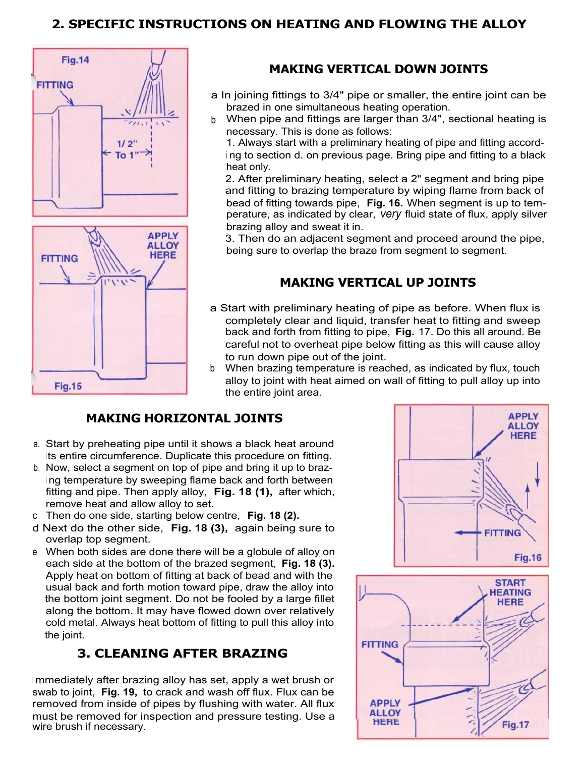#### **2. SPECIFIC INSTRUCTIONS ON HEATING AND FLOWING THE ALLOY**



#### **MAKING VERTICAL DOWN JOINTS**

- a In joining fittings to 3/4" pipe or smaller, the entire joint can be brazed in one simultaneous heating operation.
- b When pipe and fittings are larger than 3/4", sectional heating is necessary. This is done as follows:

1. Always start with a preliminary heating of pipe and fitting accord<sup>i</sup> ng to section d. on previous page. Bring pipe and fitting to a black heat only.

2. After preliminary heating, select a 2" segment and bring pipe and fitting to brazing temperature by wiping flame from back of bead of fitting towards pipe, **Fig. 16.** When segment is up to temperature, as indicated by clear, *very* fluid state of flux, apply silver brazing alloy and sweat it in.

3. Then do an adjacent segment and proceed around the pipe, being sure to overlap the braze from segment to segment.

#### **MAKING VERTICAL UP JOINTS**

- a Start with preliminary heating of pipe as before. When flux is completely clear and liquid, transfer heat to fitting and sweep back and forth from fitting to pipe, **Fig.** 17. Do this all around. Be careful not to overheat pipe below fitting as this will cause alloy to run down pipe out of the joint.
- b When brazing temperature is reached, as indicated by flux, touch alloy to joint with heat aimed on wall of fitting to pull alloy up into the entire joint area.

#### **MAKING HORIZONTAL JOINTS**

- a. Start by preheating pipe until it shows a black heat around its entire circumference. Duplicate this procedure on fitting.
- b. Now, select a segment on top of pipe and bring it up to braz<sup>i</sup> ng temperature by sweeping flame back and forth between fitting and pipe. Then apply alloy, **Fig. 18 (1),** after which, remove heat and allow alloy to set.
- c Then do one side, starting below centre, **Fig. 18 (2).**
- d Next do the other side, **Fig. 18 (3),** again being sure to overlap top segment.
- e When both sides are done there will be a globule of alloy on each side at the bottom of the brazed segment, **Fig. 18 (3).** Apply heat on bottom of fitting at back of bead and with the usual back and forth motion toward pipe, draw the alloy into the bottom joint segment. Do not be fooled by a large fillet along the bottom. It may have flowed down over relatively cold metal. Always heat bottom of fitting to pull this alloy into the joint.

#### **3. CLEANING AFTER BRAZING**

Immediately after brazing alloy has set, apply a wet brush or swab to joint, **Fig. 19,** to crack and wash off flux. Flux can be removed from inside of pipes by flushing with water. All flux must be removed for inspection and pressure testing. Use a wire brush if necessary.